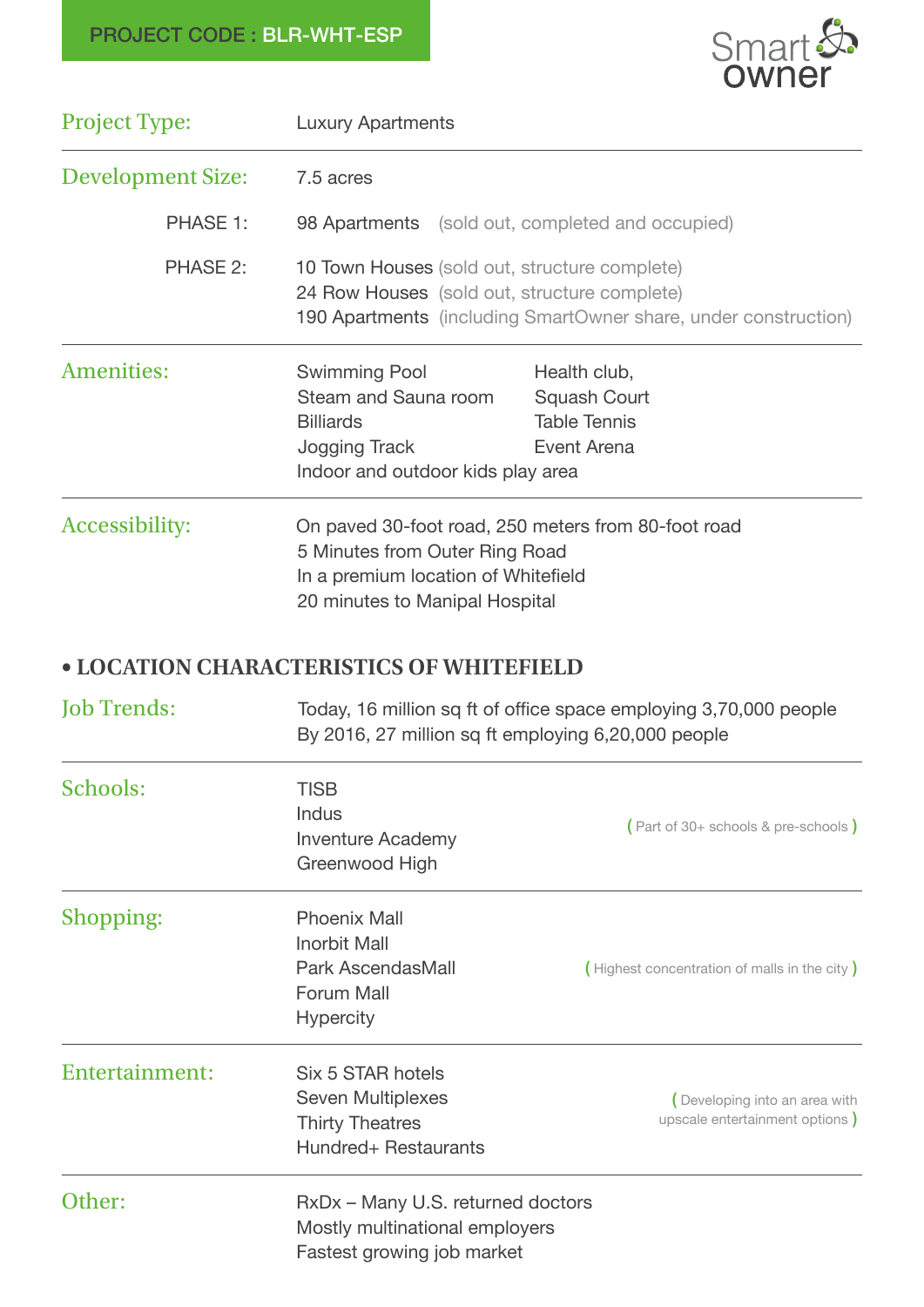

| <b>Project Type:</b>     | <b>Luxury Apartments</b>                                                                                                                                         |                                                                           |  |  |  |
|--------------------------|------------------------------------------------------------------------------------------------------------------------------------------------------------------|---------------------------------------------------------------------------|--|--|--|
| <b>Development Size:</b> | 7.5 acres                                                                                                                                                        |                                                                           |  |  |  |
| PHASE 1:                 |                                                                                                                                                                  | 98 Apartments (sold out, completed and occupied)                          |  |  |  |
| PHASE 2:                 | 10 Town Houses (sold out, structure complete)<br>24 Row Houses (sold out, structure complete)<br>190 Apartments (including SmartOwner share, under construction) |                                                                           |  |  |  |
| <b>Amenities:</b>        | <b>Swimming Pool</b><br>Steam and Sauna room<br><b>Billiards</b><br>Jogging Track<br>Indoor and outdoor kids play area                                           | Health club,<br><b>Squash Court</b><br><b>Table Tennis</b><br>Event Arena |  |  |  |
| <b>Accessibility:</b>    | On paved 30-foot road, 250 meters from 80-foot road<br>5 Minutes from Outer Ring Road<br>In a premium location of Whitefield<br>20 minutes to Manipal Hospital   |                                                                           |  |  |  |
|                          | • LOCATION CHARACTERISTICS OF WHITEFIELD                                                                                                                         |                                                                           |  |  |  |
| <b>Job Trends:</b>       | Today, 16 million sq ft of office space employing 3,70,000 people<br>By 2016, 27 million sq ft employing 6,20,000 people                                         |                                                                           |  |  |  |
| Schools:                 | <b>TISB</b><br>Indus<br><b>Inventure Academy</b><br>Greenwood High                                                                                               | (Part of 30+ schools & pre-schools)                                       |  |  |  |
| Shopping:                | <b>Phoenix Mall</b><br><b>Inorbit Mall</b><br><b>Park AscendasMall</b><br>Forum Mall<br><b>Hypercity</b>                                                         | (Highest concentration of malls in the city)                              |  |  |  |
| Entertainment:           | Six 5 STAR hotels<br><b>Seven Multiplexes</b><br><b>Thirty Theatres</b><br>Hundred+ Restaurants                                                                  | Developing into an area with<br>upscale entertainment options)            |  |  |  |
| Other:                   | RxDx – Many U.S. returned doctors<br>Mostly multinational employers<br>Fastest growing job market                                                                |                                                                           |  |  |  |